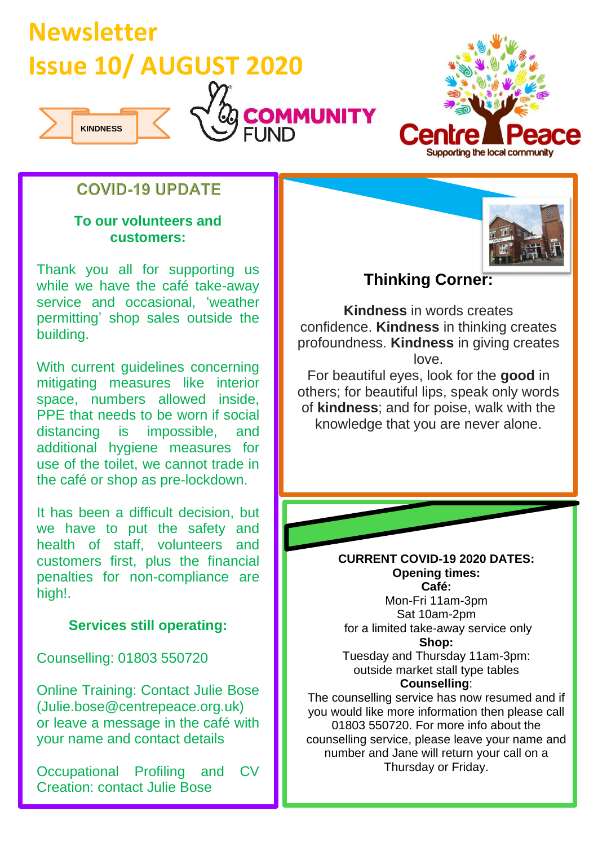



## **COVID-19 UPDATE**

#### **To our volunteers and customers:**

Thank you all for supporting us while we have the café take-away service and occasional, 'weather permitting' shop sales outside the building.

With current guidelines concerning mitigating measures like interior space, numbers allowed inside, PPE that needs to be worn if social distancing is impossible, and additional hygiene measures for use of the toilet, we cannot trade in the café or shop as pre-lockdown.

It has been a difficult decision, but we have to put the safety and health of staff, volunteers and customers first, plus the financial penalties for non-compliance are high!.

### **Services still operating:**

Counselling: 01803 550720

Online Training: Contact Julie Bose (Julie.bose@centrepeace.org.uk) or leave a message in the café with your name and contact details

Occupational Profiling and CV Creation: contact Julie Bose



## **Thinking Corner:**

**Kindness** in words creates confidence. **Kindness** in thinking creates profoundness. **Kindness** in giving creates love.

For beautiful eyes, look for the **good** in others; for beautiful lips, speak only words of **kindness**; and for poise, walk with the knowledge that you are never alone.

> **CURRENT COVID-19 2020 DATES: Opening times: Café:**

Mon-Fri 11am-3pm Sat 10am-2pm for a limited take-away service only **Shop:** Tuesday and Thursday 11am-3pm:

outside market stall type tables **Counselling**:

The counselling service has now resumed and if you would like more information then please call 01803 550720. For more info about the counselling service, please leave your name and number and Jane will return your call on a Thursday or Friday.